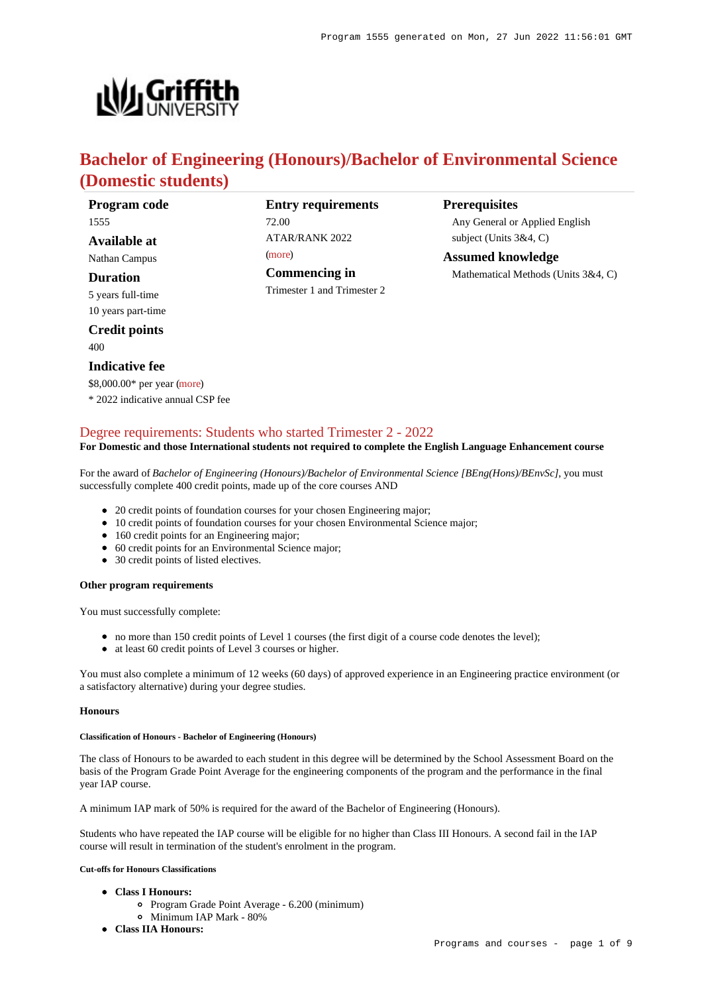

# **Bachelor of Engineering (Honours)/Bachelor of Environmental Science (Domestic students)**

| <b>Program</b> code |  |
|---------------------|--|
| 1555                |  |

**Available at**

Nathan Campus

**Duration**

5 years full-time 10 years part-time

**Credit points**

400

### **Indicative fee**

\$8,000.00\* per year [\(more](https://www148.griffith.edu.au/programs-courses/Program/1555/Overview/Domestic#fees))

\* 2022 indicative annual CSP fee

## **Entry requirements** 72.00 ATAR/RANK 2022 [\(more](https://www148.griffith.edu.au/programs-courses/Program/1555/HowToApply/Domestic#tac-entry-requirements)) **Commencing in**

Trimester 1 and Trimester 2

### **Prerequisites**

Any General or Applied English subject (Units 3&4, C)

**Assumed knowledge** Mathematical Methods (Units 3&4, C)

### [Degree requirements: Students who started Trimester 2 - 2022](https://www148.griffith.edu.au/programs-courses/Program/1555/Courses/Domestic#degree-requirements)

#### **For Domestic and those International students not required to complete the English Language Enhancement course**

For the award of *Bachelor of Engineering (Honours)/Bachelor of Environmental Science [BEng(Hons)/BEnvSc]*, you must successfully complete 400 credit points, made up of the core courses AND

- 20 credit points of foundation courses for your chosen Engineering major;
- 10 credit points of foundation courses for your chosen Environmental Science major;
- 160 credit points for an Engineering major;
- 60 credit points for an Environmental Science major;
- 30 credit points of listed electives.

### **Other program requirements**

You must successfully complete:

- no more than 150 credit points of Level 1 courses (the first digit of a course code denotes the level);
- at least 60 credit points of Level 3 courses or higher.

You must also complete a minimum of 12 weeks (60 days) of approved experience in an Engineering practice environment (or a satisfactory alternative) during your degree studies.

### **Honours**

#### **Classification of Honours - Bachelor of Engineering (Honours)**

The class of Honours to be awarded to each student in this degree will be determined by the School Assessment Board on the basis of the Program Grade Point Average for the engineering components of the program and the performance in the final year IAP course.

A minimum IAP mark of 50% is required for the award of the Bachelor of Engineering (Honours).

Students who have repeated the IAP course will be eligible for no higher than Class III Honours. A second fail in the IAP course will result in termination of the student's enrolment in the program.

#### **Cut-offs for Honours Classifications**

- **Class I Honours:**
	- Program Grade Point Average 6.200 (minimum)
	- Minimum IAP Mark 80%
- **Class IIA Honours:**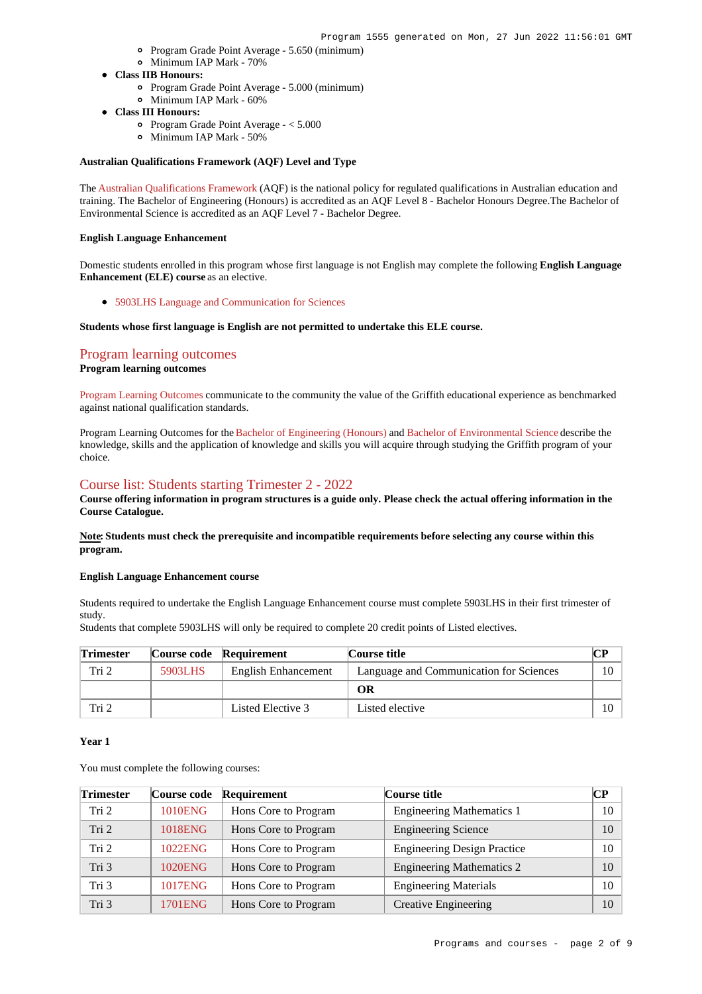- Program Grade Point Average 5.650 (minimum)
- Minimum IAP Mark 70%
- **Class IIB Honours:**
	- Program Grade Point Average 5.000 (minimum)
	- Minimum IAP Mark 60%
- **Class III Honours:**
	- Program Grade Point Average < 5.000
	- Minimum IAP Mark 50%

#### **Australian Qualifications Framework (AQF) Level and Type**

The [Australian Qualifications Framework](http://www.aqf.edu.au/) (AQF) is the national policy for regulated qualifications in Australian education and training. The Bachelor of Engineering (Honours) is accredited as an AQF Level 8 - Bachelor Honours Degree.The Bachelor of Environmental Science is accredited as an AQF Level 7 - Bachelor Degree.

#### **English Language Enhancement**

Domestic students enrolled in this program whose first language is not English may complete the following **English Language Enhancement (ELE) course** as an elective.

[5903LHS Language and Communication for Sciences](https://www148.griffith.edu.au/Course/5903LHS)

#### **Students whose first language is English are not permitted to undertake this ELE course.**

## [Program learning outcomes](https://www148.griffith.edu.au/programs-courses/Program/1555/Courses/Domestic#programLearningOutcomes)

### **Program learning outcomes**

[Program Learning Outcomes](https://www.griffith.edu.au/__data/assets/pdf_file/0017/134522/PLO-general-advice.pdf) communicate to the community the value of the Griffith educational experience as benchmarked against national qualification standards.

Program Learning Outcomes for the [Bachelor of Engineering \(Honours\)](https://www.griffith.edu.au/__data/assets/pdf_file/0017/301193/BEngineering-Hons-PLO-L8.pdf) and [Bachelor of Environmental Science](https://www.griffith.edu.au/__data/assets/pdf_file/0032/318398/BEnvironmental-Science-PLO-L7.pdf) describe the knowledge, skills and the application of knowledge and skills you will acquire through studying the Griffith program of your choice.

### [Course list: Students starting Trimester 2 - 2022](https://www148.griffith.edu.au/programs-courses/Program/1555/Courses/Domestic#course-list-content)

**Course offering information in program structures is a guide only. Please check the actual offering information in the Course Catalogue.**

**Note: Students must check the prerequisite and incompatible requirements before selecting any course within this program.**

#### **English Language Enhancement course**

Students required to undertake the English Language Enhancement course must complete 5903LHS in their first trimester of study.

Students that complete 5903LHS will only be required to complete 20 credit points of Listed electives.

| <b>Trimester</b> |         | Course code Requirement | Course title                            |    |
|------------------|---------|-------------------------|-----------------------------------------|----|
| Tri 2            | 5903LHS | English Enhancement     | Language and Communication for Sciences | 10 |
|                  |         |                         | OR                                      |    |
| Tri 2            |         | Listed Elective 3       | Listed elective                         | 10 |

#### **Year 1**

| <b>Trimester</b> | Course code    | Requirement          | Course title                       | <b>CP</b> |
|------------------|----------------|----------------------|------------------------------------|-----------|
| Tri 2            | <b>1010ENG</b> | Hons Core to Program | <b>Engineering Mathematics 1</b>   | 10        |
| Tri 2            | 1018ENG        | Hons Core to Program | <b>Engineering Science</b>         | 10        |
| Tri 2            | 1022ENG        | Hons Core to Program | <b>Engineering Design Practice</b> | 10        |
| Tri 3            | 1020ENG        | Hons Core to Program | <b>Engineering Mathematics 2</b>   | 10        |
| Tri 3            | <b>1017ENG</b> | Hons Core to Program | <b>Engineering Materials</b>       | 10        |
| Tri 3            | 1701ENG        | Hons Core to Program | <b>Creative Engineering</b>        | 10        |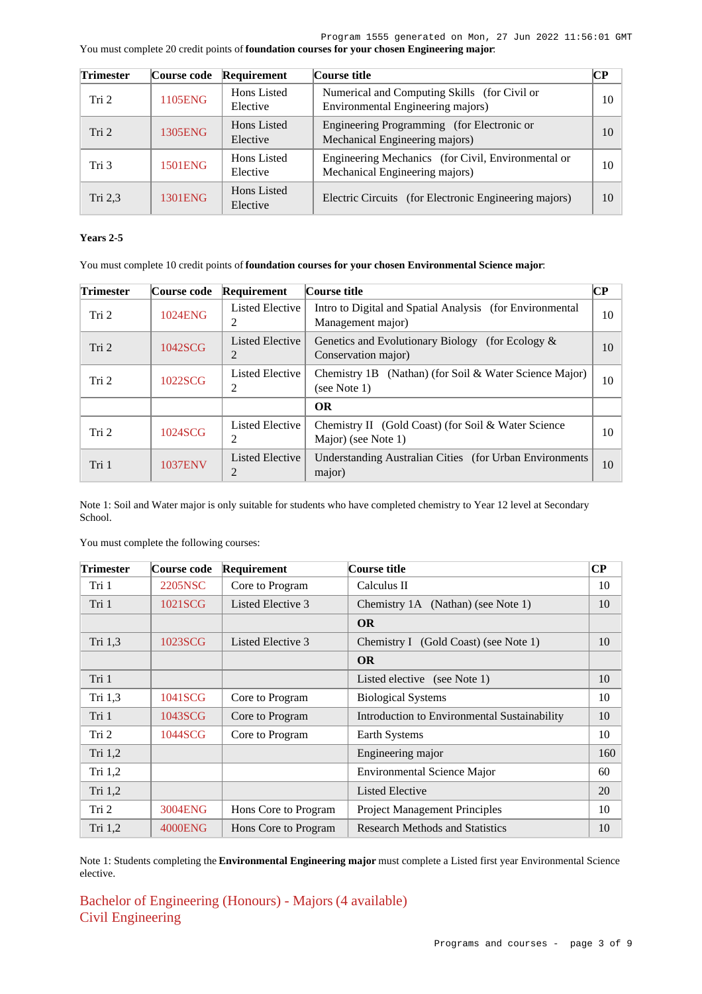| You must complete 20 credit points of foundation courses for your chosen Engineering major. |  |  |  |
|---------------------------------------------------------------------------------------------|--|--|--|
|---------------------------------------------------------------------------------------------|--|--|--|

| <b>Trimester</b> | Course code | Requirement             | Course title                                                                         | <b>CP</b> |
|------------------|-------------|-------------------------|--------------------------------------------------------------------------------------|-----------|
| Tri <sub>2</sub> | 1105ENG     | Hons Listed<br>Elective | Numerical and Computing Skills (for Civil or<br>Environmental Engineering majors)    | 10        |
| Tri 2            | 1305ENG     | Hons Listed<br>Elective | Engineering Programming (for Electronic or<br>Mechanical Engineering majors)         | 10        |
| Tri 3            | 1501ENG     | Hons Listed<br>Elective | Engineering Mechanics (for Civil, Environmental or<br>Mechanical Engineering majors) | 10        |
| Tri $2,3$        | 1301ENG     | Hons Listed<br>Elective | Electric Circuits (for Electronic Engineering majors)                                | 10        |

### **Years 2-5**

You must complete 10 credit points of **foundation courses for your chosen Environmental Science major**:

| Trimester | Course code | Requirement                 | Course title                                                                  | CР |
|-----------|-------------|-----------------------------|-------------------------------------------------------------------------------|----|
| Tri 2     | 1024ENG     | <b>Listed Elective</b><br>2 | Intro to Digital and Spatial Analysis (for Environmental<br>Management major) | 10 |
| Tri 2     | 1042SCG     | <b>Listed Elective</b><br>2 | Genetics and Evolutionary Biology (for Ecology &<br>Conservation major)       | 10 |
| Tri 2     | 1022SCG     | Listed Elective<br>2        | Chemistry 1B (Nathan) (for Soil & Water Science Major)<br>(see Note 1)        | 10 |
|           |             |                             | <b>OR</b>                                                                     |    |
| Tri 2     | 1024SCG     | Listed Elective<br>2        | Chemistry II (Gold Coast) (for Soil & Water Science<br>Major) (see Note 1)    | 10 |
| Tri 1     | 1037ENV     | Listed Elective<br>2        | Understanding Australian Cities (for Urban Environments)<br>major)            | 10 |

Note 1: Soil and Water major is only suitable for students who have completed chemistry to Year 12 level at Secondary School.

You must complete the following courses:

| Trimester | Course code    | <b>Requirement</b>   | Course title                                 | $\bf CP$ |
|-----------|----------------|----------------------|----------------------------------------------|----------|
| Tri 1     | 2205NSC        | Core to Program      | Calculus II                                  | 10       |
| Tri 1     | 1021SCG        | Listed Elective 3    | Chemistry 1A (Nathan) (see Note 1)           | 10       |
|           |                |                      | <b>OR</b>                                    |          |
| Tri 1,3   | 1023SCG        | Listed Elective 3    | Chemistry I (Gold Coast) (see Note 1)        | 10       |
|           |                |                      | <b>OR</b>                                    |          |
| Tri 1     |                |                      | Listed elective (see Note 1)                 | 10       |
| Tri 1,3   | 1041SCG        | Core to Program      | <b>Biological Systems</b>                    | 10       |
| Tri 1     | 1043SCG        | Core to Program      | Introduction to Environmental Sustainability | 10       |
| Tri 2     | 1044SCG        | Core to Program      | Earth Systems                                | 10       |
| Tri 1,2   |                |                      | Engineering major                            | 160      |
| Tri $1,2$ |                |                      | <b>Environmental Science Major</b>           | 60       |
| Tri 1,2   |                |                      | <b>Listed Elective</b>                       | 20       |
| Tri 2     | 3004ENG        | Hons Core to Program | <b>Project Management Principles</b>         | 10       |
| Tri 1,2   | <b>4000ENG</b> | Hons Core to Program | <b>Research Methods and Statistics</b>       | 10       |

Note 1: Students completing the **Environmental Engineering major** must complete a Listed first year Environmental Science elective.

Bachelor of Engineering (Honours) - Majors (4 available) Civil Engineering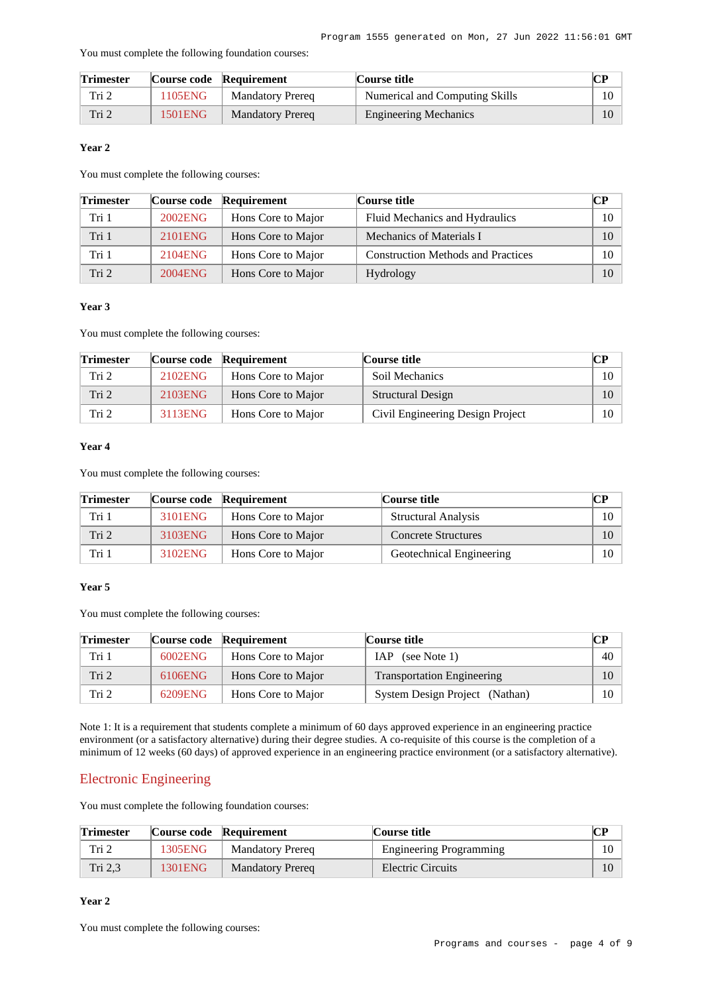You must complete the following foundation courses:

| <b>Trimester</b> |         | Course code Requirement | Course title                   | CР |
|------------------|---------|-------------------------|--------------------------------|----|
| Tri 2            | 1105ENG | <b>Mandatory Prereg</b> | Numerical and Computing Skills |    |
| Tri 2            | 1501ENG | <b>Mandatory Prereg</b> | <b>Engineering Mechanics</b>   |    |

### **Year 2**

You must complete the following courses:

| <b>Trimester</b> | Course code | Requirement        | <b>Course title</b>                       | CP. |
|------------------|-------------|--------------------|-------------------------------------------|-----|
| Tri 1            | 2002ENG     | Hons Core to Major | Fluid Mechanics and Hydraulics            | 10  |
| Tri 1            | 2101ENG     | Hons Core to Major | Mechanics of Materials I                  | 10  |
| Tri 1            | 2104ENG     | Hons Core to Major | <b>Construction Methods and Practices</b> | 10  |
| Tri <sub>2</sub> | 2004ENG     | Hons Core to Major | <b>Hydrology</b>                          | 10  |

### **Year 3**

You must complete the following courses:

| <b>Trimester</b> |         | Course code Requirement | Course title                     | CР |
|------------------|---------|-------------------------|----------------------------------|----|
| Tri 2            | 2102ENG | Hons Core to Major      | Soil Mechanics                   | 10 |
| Tri 2            | 2103ENG | Hons Core to Major      | <b>Structural Design</b>         |    |
| Tri 2            | 3113ENG | Hons Core to Major      | Civil Engineering Design Project | 10 |

### **Year 4**

You must complete the following courses:

| <b>Trimester</b> |         | Course code Requirement | Course title               |        |
|------------------|---------|-------------------------|----------------------------|--------|
| Tri 1            | 3101ENG | Hons Core to Major      | <b>Structural Analysis</b> | $10-1$ |
| Tri 2            | 3103ENG | Hons Core to Major      | <b>Concrete Structures</b> | 10     |
| Tri 1            | 3102ENG | Hons Core to Major      | Geotechnical Engineering   | $10-1$ |

### **Year 5**

You must complete the following courses:

| <b>Trimester</b> |         | Course code Requirement | Course title                      | CР     |
|------------------|---------|-------------------------|-----------------------------------|--------|
| Tri 1            | 6002ENG | Hons Core to Major      | IAP (see Note 1)                  | 40     |
| Tri 2            | 6106ENG | Hons Core to Major      | <b>Transportation Engineering</b> | 10     |
| Tri 2            | 6209ENG | Hons Core to Major      | System Design Project (Nathan)    | $10-1$ |

Note 1: It is a requirement that students complete a minimum of 60 days approved experience in an engineering practice environment (or a satisfactory alternative) during their degree studies. A co-requisite of this course is the completion of a minimum of 12 weeks (60 days) of approved experience in an engineering practice environment (or a satisfactory alternative).

### Electronic Engineering

You must complete the following foundation courses:

| <b>Trimester</b> |         | Course code Requirement | Course title                   | CР |
|------------------|---------|-------------------------|--------------------------------|----|
| Tri 2            | 1305ENG | <b>Mandatory Prereg</b> | <b>Engineering Programming</b> |    |
| Tri 2.3          | 1301ENG | <b>Mandatory Prereq</b> | Electric Circuits              |    |

### **Year 2**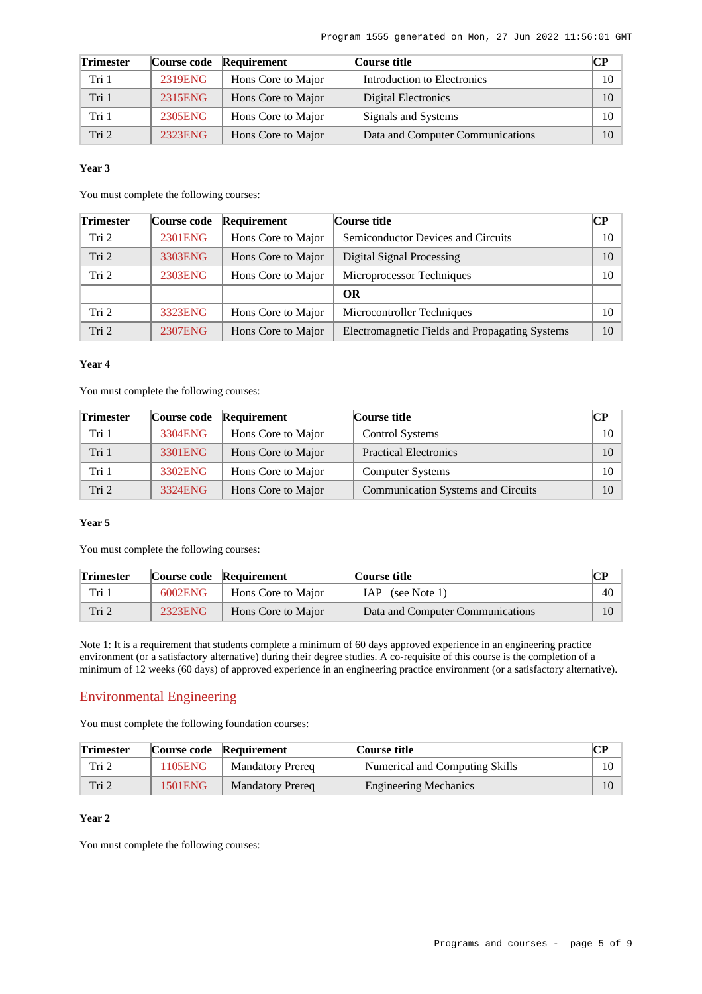| <b>Trimester</b> |         | Course code Requirement | Course title                     | $\bf CP$        |
|------------------|---------|-------------------------|----------------------------------|-----------------|
| Tri 1            | 2319ENG | Hons Core to Major      | Introduction to Electronics      | $10-10$         |
| Tri 1            | 2315ENG | Hons Core to Major      | Digital Electronics              | 10 <sup>1</sup> |
| Tri 1            | 2305ENG | Hons Core to Major      | Signals and Systems              | $10-10$         |
| Tri 2            | 2323ENG | Hons Core to Major      | Data and Computer Communications | 10 <sup>1</sup> |

#### **Year 3**

You must complete the following courses:

| <b>Trimester</b> | Course code | Requirement        | Course title                                   | CР |
|------------------|-------------|--------------------|------------------------------------------------|----|
| Tri 2            | 2301ENG     | Hons Core to Major | <b>Semiconductor Devices and Circuits</b>      | 10 |
| Tri 2            | 3303ENG     | Hons Core to Major | Digital Signal Processing                      | 10 |
| Tri 2            | 2303ENG     | Hons Core to Major | Microprocessor Techniques                      | 10 |
|                  |             |                    | <b>OR</b>                                      |    |
| Tri <sub>2</sub> | 3323ENG     | Hons Core to Major | Microcontroller Techniques                     | 10 |
| Tri 2            | 2307ENG     | Hons Core to Major | Electromagnetic Fields and Propagating Systems | 10 |

#### **Year 4**

You must complete the following courses:

| <b>Trimester</b> |         | Course code Requirement | Course title                              | CР |
|------------------|---------|-------------------------|-------------------------------------------|----|
| Tri 1            | 3304ENG | Hons Core to Major      | <b>Control Systems</b>                    | 10 |
| Tri 1            | 3301ENG | Hons Core to Major      | <b>Practical Electronics</b>              | 10 |
| Tri 1            | 3302ENG | Hons Core to Major      | <b>Computer Systems</b>                   | 10 |
| Tri <sub>2</sub> | 3324ENG | Hons Core to Major      | <b>Communication Systems and Circuits</b> | 10 |

### **Year 5**

You must complete the following courses:

| <b>Trimester</b> |         | Course code Requirement | Course title                     |    |
|------------------|---------|-------------------------|----------------------------------|----|
| Tri 1            | 6002ENG | Hons Core to Major      | IAP (see Note 1)                 | 40 |
| Tri 2            | 2323ENG | Hons Core to Major      | Data and Computer Communications | 10 |

Note 1: It is a requirement that students complete a minimum of 60 days approved experience in an engineering practice environment (or a satisfactory alternative) during their degree studies. A co-requisite of this course is the completion of a minimum of 12 weeks (60 days) of approved experience in an engineering practice environment (or a satisfactory alternative).

### Environmental Engineering

You must complete the following foundation courses:

| <b>Trimester</b> |         | Course code Requirement | Course title                   | CР |
|------------------|---------|-------------------------|--------------------------------|----|
| Tri 2            | 1105ENG | <b>Mandatory Prereq</b> | Numerical and Computing Skills |    |
| Tri <sub>2</sub> | 1501ENG | <b>Mandatory Prereq</b> | <b>Engineering Mechanics</b>   |    |

### **Year 2**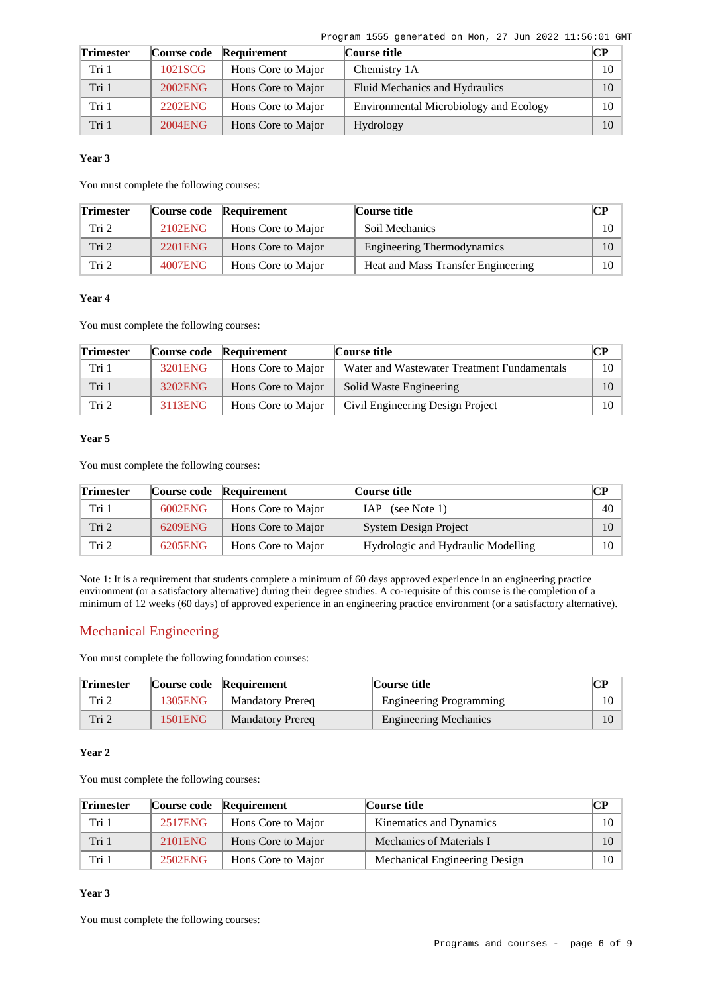Program 1555 generated on Mon, 27 Jun 2022 11:56:01 GMT

| <b>Trimester</b> |         | Course code Requirement | Course title                           | CР |
|------------------|---------|-------------------------|----------------------------------------|----|
| Tri 1            | 1021SCG | Hons Core to Major      | Chemistry 1A                           | 10 |
| Tri 1            | 2002ENG | Hons Core to Major      | Fluid Mechanics and Hydraulics         | 10 |
| Tri 1            | 2202ENG | Hons Core to Major      | Environmental Microbiology and Ecology | 10 |
| Tri 1            | 2004ENG | Hons Core to Major      | Hydrology                              | 10 |

#### **Year 3**

You must complete the following courses:

| <b>Trimester</b> |         | Course code Requirement | Course title                       | $\mathbb{C}\mathbb{P}$ |
|------------------|---------|-------------------------|------------------------------------|------------------------|
| Tri 2            | 2102ENG | Hons Core to Major      | Soil Mechanics                     | 10                     |
| Tri 2            | 2201ENG | Hons Core to Major      | Engineering Thermodynamics         | 10                     |
| Tri 2            | 4007ENG | Hons Core to Major      | Heat and Mass Transfer Engineering | 10                     |

### **Year 4**

You must complete the following courses:

| <b>Trimester</b> |         | Course code Requirement | Course title                                | CР |
|------------------|---------|-------------------------|---------------------------------------------|----|
| Tri 1            | 3201ENG | Hons Core to Major      | Water and Wastewater Treatment Fundamentals | 10 |
| Tri 1            | 3202ENG | Hons Core to Major      | Solid Waste Engineering                     |    |
| Tri 2            | 3113ENG | Hons Core to Major      | Civil Engineering Design Project            | 10 |

### **Year 5**

You must complete the following courses:

| <b>Trimester</b> |         | Course code Requirement | Course title                       | CР     |
|------------------|---------|-------------------------|------------------------------------|--------|
| Tri 1            | 6002ENG | Hons Core to Major      | IAP (see Note 1)                   | 40     |
| Tri 2            | 6209ENG | Hons Core to Major      | System Design Project              |        |
| Tri 2            | 6205ENG | Hons Core to Major      | Hydrologic and Hydraulic Modelling | $10-1$ |

Note 1: It is a requirement that students complete a minimum of 60 days approved experience in an engineering practice environment (or a satisfactory alternative) during their degree studies. A co-requisite of this course is the completion of a minimum of 12 weeks (60 days) of approved experience in an engineering practice environment (or a satisfactory alternative).

## Mechanical Engineering

You must complete the following foundation courses:

| <b>Trimester</b> |         | Course code Requirement | Course title                   | CР     |
|------------------|---------|-------------------------|--------------------------------|--------|
| Tri 2            | 1305ENG | <b>Mandatory Prereg</b> | <b>Engineering Programming</b> | $10-1$ |
| Tri 2            | 1501ENG | <b>Mandatory Prereg</b> | <b>Engineering Mechanics</b>   |        |

### **Year 2**

You must complete the following courses:

| <b>Trimester</b> |         | Course code Requirement | Course title                  |         |
|------------------|---------|-------------------------|-------------------------------|---------|
| Tri 1            | 2517ENG | Hons Core to Major      | Kinematics and Dynamics       | 10      |
| Tri 1            | 2101ENG | Hons Core to Major      | Mechanics of Materials I      | 10      |
| Tri 1            | 2502ENG | Hons Core to Major      | Mechanical Engineering Design | $10-10$ |

### **Year 3**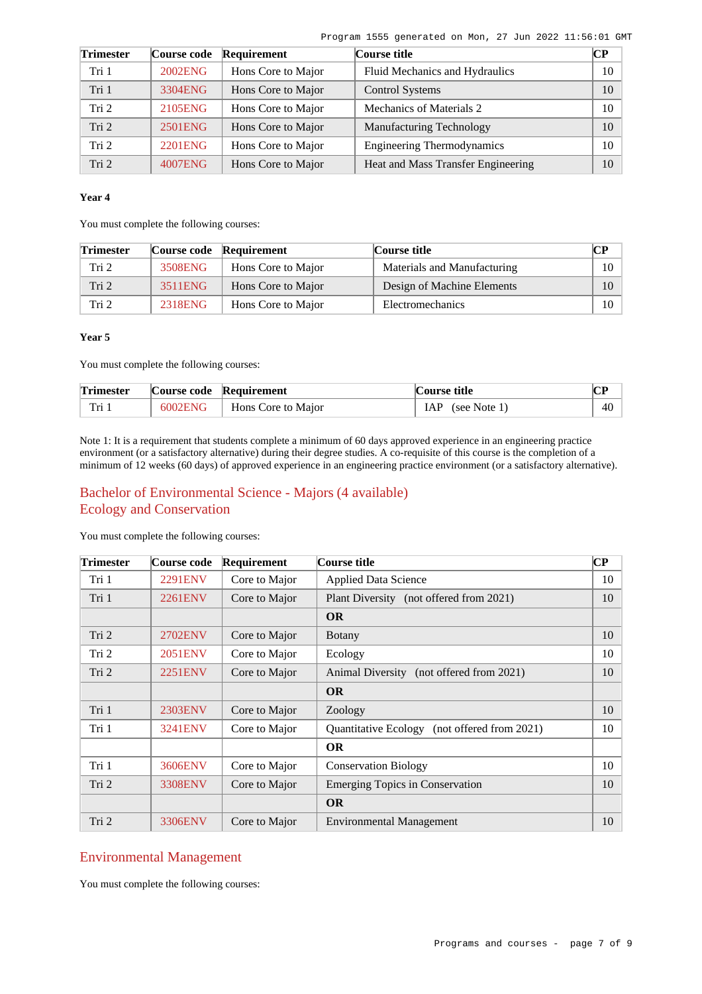| <b>Trimester</b> | Course code    | Requirement        | Course title                       | $\mathbb{C} \mathbb{P}$ |
|------------------|----------------|--------------------|------------------------------------|-------------------------|
| Tri 1            | 2002ENG        | Hons Core to Major | Fluid Mechanics and Hydraulics     | 10                      |
| Tri 1            | 3304ENG        | Hons Core to Major | <b>Control Systems</b>             | 10                      |
| Tri <sub>2</sub> | 2105ENG        | Hons Core to Major | Mechanics of Materials 2           | 10                      |
| Tri 2            | 2501ENG        | Hons Core to Major | <b>Manufacturing Technology</b>    | 10                      |
| Tri <sub>2</sub> | <b>2201ENG</b> | Hons Core to Major | <b>Engineering Thermodynamics</b>  | 10                      |
| Tri <sub>2</sub> | 4007ENG        | Hons Core to Major | Heat and Mass Transfer Engineering | 10                      |

#### **Year 4**

You must complete the following courses:

| <b>Trimester</b> |         | Course code Requirement | Course title                | CР     |
|------------------|---------|-------------------------|-----------------------------|--------|
| Tri 2            | 3508ENG | Hons Core to Major      | Materials and Manufacturing | 10     |
| Tri 2            | 3511ENG | Hons Core to Major      | Design of Machine Elements  |        |
| Tri 2            | 2318ENG | Hons Core to Major      | Electromechanics            | $10-1$ |

#### **Year 5**

You must complete the following courses:

| <b>Trimester</b> |         | Course code Requirement | Course title     |    |
|------------------|---------|-------------------------|------------------|----|
| Tri              | 6002ENG | Hons Core to Major      | IAP (see Note 1) | 40 |

Note 1: It is a requirement that students complete a minimum of 60 days approved experience in an engineering practice environment (or a satisfactory alternative) during their degree studies. A co-requisite of this course is the completion of a minimum of 12 weeks (60 days) of approved experience in an engineering practice environment (or a satisfactory alternative).

## Bachelor of Environmental Science - Majors (4 available) Ecology and Conservation

**Trimester Course code Requirement Course title CP** Tri 1 [2291ENV](https://www148.griffith.edu.au/programs-courses/Course/2291ENV?courseListOrigin=C0000011796&programOfOrigin=1555) Core to Major Applied Data Science 10 Tri 1 [2261ENV](https://www148.griffith.edu.au/programs-courses/Course/2261ENV?courseListOrigin=C0000011796&programOfOrigin=1555) Core to Major Plant Diversity (not offered from 2021) 10 **OR** Tri 2 [2702ENV](https://www148.griffith.edu.au/programs-courses/Course/2702ENV?courseListOrigin=C0000011796&programOfOrigin=1555) Core to Major Botany 10  $Tri 2$  | [2051ENV](https://www148.griffith.edu.au/programs-courses/Course/2051ENV?courseListOrigin=C0000011796&programOfOrigin=1555) | Core to Major | Ecology | 10 Tri 2 [2251ENV](https://www148.griffith.edu.au/programs-courses/Course/2251ENV?courseListOrigin=C0000011796&programOfOrigin=1555) Core to Major Animal Diversity (not offered from 2021) 10 **OR** Tri 1 [2303ENV](https://www148.griffith.edu.au/programs-courses/Course/2303ENV?courseListOrigin=C0000011796&programOfOrigin=1555) Core to Major Zoology 10 Tri 1 [3241ENV](https://www148.griffith.edu.au/programs-courses/Course/3241ENV?courseListOrigin=C0000011796&programOfOrigin=1555) Core to Major Quantitative Ecology (not offered from 2021) 10 **OR** Tri 1 [3606ENV](https://www148.griffith.edu.au/programs-courses/Course/3606ENV?courseListOrigin=C0000011796&programOfOrigin=1555) Core to Major Conservation Biology 10 Tri 2 [3308ENV](https://www148.griffith.edu.au/programs-courses/Course/3308ENV?courseListOrigin=C0000011796&programOfOrigin=1555) Core to Major Emerging Topics in Conservation 10 **OR** Tri 2 [3306ENV](https://www148.griffith.edu.au/programs-courses/Course/3306ENV?courseListOrigin=C0000011796&programOfOrigin=1555) Core to Major Environmental Management 10

You must complete the following courses:

### Environmental Management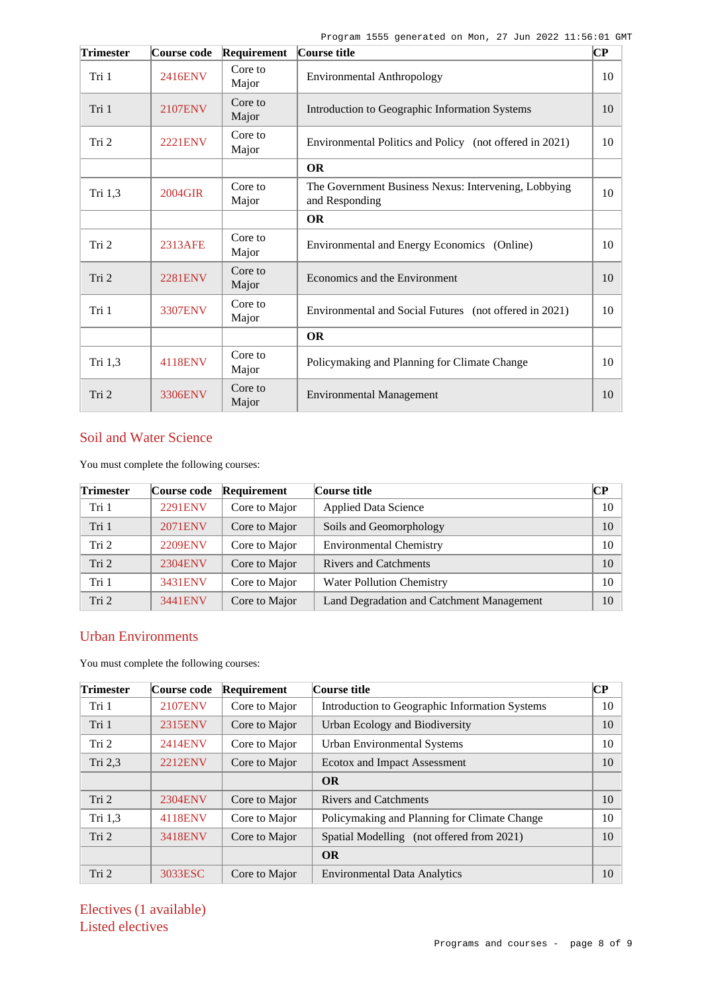| <b>Trimester</b> | Course code    | Requirement      | Course title                                                           | $ {\bf CP}% \>$ |
|------------------|----------------|------------------|------------------------------------------------------------------------|-----------------|
| Tri 1            | 2416ENV        | Core to<br>Major | <b>Environmental Anthropology</b>                                      | 10              |
| Tri 1            | 2107ENV        | Core to<br>Major | Introduction to Geographic Information Systems                         | 10              |
| Tri 2            | <b>2221ENV</b> | Core to<br>Major | Environmental Politics and Policy (not offered in 2021)                | 10              |
|                  |                |                  | <b>OR</b>                                                              |                 |
| Tri 1,3          | 2004GIR        | Core to<br>Major | The Government Business Nexus: Intervening, Lobbying<br>and Responding | 10              |
|                  |                |                  | <b>OR</b>                                                              |                 |
| Tri 2            | 2313AFE        | Core to<br>Major | Environmental and Energy Economics (Online)                            | 10              |
| Tri 2            | <b>2281ENV</b> | Core to<br>Major | Economics and the Environment                                          | 10              |
| Tri 1            | 3307ENV        | Core to<br>Major | Environmental and Social Futures (not offered in 2021)                 | 10              |
|                  |                |                  | <b>OR</b>                                                              |                 |
| Tri 1,3          | 4118ENV        | Core to<br>Major | Policymaking and Planning for Climate Change                           | 10              |
| Tri 2            | 3306ENV        | Core to<br>Major | <b>Environmental Management</b>                                        | 10              |

# Soil and Water Science

You must complete the following courses:

| <b>Trimester</b> | Course code    | Requirement   | Course title                              | $\mathbb{C}\mathbb{P}$ |
|------------------|----------------|---------------|-------------------------------------------|------------------------|
| Tri 1            | <b>2291ENV</b> | Core to Major | <b>Applied Data Science</b>               | 10                     |
| Tri 1            | 2071ENV        | Core to Major | Soils and Geomorphology                   | 10                     |
| Tri 2            | <b>2209ENV</b> | Core to Major | <b>Environmental Chemistry</b>            | 10                     |
| Tri 2            | 2304ENV        | Core to Major | <b>Rivers and Catchments</b>              | 10                     |
| Tri 1            | 3431ENV        | Core to Major | <b>Water Pollution Chemistry</b>          | 10                     |
| Tri <sub>2</sub> | 3441ENV        | Core to Major | Land Degradation and Catchment Management | 10                     |

## Urban Environments

You must complete the following courses:

| Trimester | Course code    | Requirement   | Course title                                   | $\bf CP$ |
|-----------|----------------|---------------|------------------------------------------------|----------|
| Tri 1     | <b>2107ENV</b> | Core to Major | Introduction to Geographic Information Systems | 10       |
| Tri 1     | 2315ENV        | Core to Major | Urban Ecology and Biodiversity                 | 10       |
| Tri 2     | 2414ENV        | Core to Major | <b>Urban Environmental Systems</b>             | 10       |
| Tri 2,3   | <b>2212ENV</b> | Core to Major | <b>Ecotox and Impact Assessment</b>            | 10       |
|           |                |               | <b>OR</b>                                      |          |
| Tri 2     | 2304ENV        | Core to Major | <b>Rivers and Catchments</b>                   | 10       |
| Tri 1,3   | 4118ENV        | Core to Major | Policymaking and Planning for Climate Change   | 10       |
| Tri 2     | 3418ENV        | Core to Major | Spatial Modelling (not offered from 2021)      | 10       |
|           |                |               | <b>OR</b>                                      |          |
| Tri 2     | 3033ESC        | Core to Major | <b>Environmental Data Analytics</b>            | 10       |

Electives (1 available) Listed electives